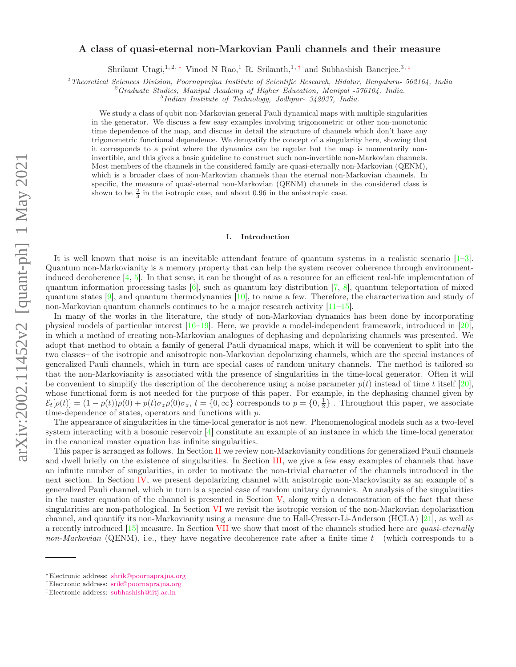# arXiv:2002.11452v2 [quant-ph] 1 May 2021 arXiv:2002.11452v2 [quant-ph] 1 May 2021

# A class of quasi-eternal non-Markovian Pauli channels and their measure

Shrikant Utagi,<sup>1, 2,\*</sup> Vinod N Rao,<sup>1</sup> R. Srikanth,<sup>1,†</sup> and Subhashish Banerjee.<sup>3,‡</sup>

<sup>1</sup>Theoretical Sciences Division, Poornaprajna Institute of Scientific Research, Bidalur, Bengaluru- 562164, India

 $^{2}$ Graduate Studies, Manipal Academy of Higher Education, Manipal -576104, India.

3 Indian Institute of Technology, Jodhpur- 342037, India.

We study a class of qubit non-Markovian general Pauli dynamical maps with multiple singularities in the generator. We discuss a few easy examples involving trigonometric or other non-monotonic time dependence of the map, and discuss in detail the structure of channels which don't have any trigonometric functional dependence. We demystify the concept of a singularity here, showing that it corresponds to a point where the dynamics can be regular but the map is momentarily noninvertible, and this gives a basic guideline to construct such non-invertible non-Markovian channels. Most members of the channels in the considered family are quasi-eternally non-Markovian (QENM), which is a broader class of non-Markovian channels than the eternal non-Markovian channels. In specific, the measure of quasi-eternal non-Markovian (QENM) channels in the considered class is shown to be  $\frac{2}{3}$  in the isotropic case, and about 0.96 in the anisotropic case.

### I. Introduction

It is well known that noise is an inevitable attendant feature of quantum systems in a realistic scenario [1–3]. Quantum non-Markovianity is a memory property that can help the system recover coherence through environmentinduced decoherence [4, 5]. In that sense, it can be thought of as a resource for an efficient real-life implementation of quantum information processing tasks  $[6]$ , such as quantum key distribution  $[7, 8]$ , quantum teleportation of mixed quantum states [9], and quantum thermodynamics [10], to name a few. Therefore, the characterization and study of non-Markovian quantum channels continues to be a major research activity [11–15].

In many of the works in the literature, the study of non-Markovian dynamics has been done by incorporating physical models of particular interest [16–19]. Here, we provide a model-independent framework, introduced in [20], in which a method of creating non-Markovian analogues of dephasing and depolarizing channels was presented. We adopt that method to obtain a family of general Pauli dynamical maps, which it will be convenient to split into the two classes– of the isotropic and anisotropic non-Markovian depolarizing channels, which are the special instances of generalized Pauli channels, which in turn are special cases of random unitary channels. The method is tailored so that the non-Markovianity is associated with the presence of singularities in the time-local generator. Often it will be convenient to simplify the description of the decoherence using a noise parameter  $p(t)$  instead of time t itself [20], whose functional form is not needed for the purpose of this paper. For example, in the dephasing channel given by  $\mathcal{E}_t[\rho(t)] = (1 - p(t))\rho(0) + p(t)\sigma_z\rho(0)\sigma_z$ ,  $t = \{0, \infty\}$  corresponds to  $p = \{0, \frac{1}{2}\}$ . Throughout this paper, we associate time-dependence of states, operators and functions with p.

The appearance of singularities in the time-local generator is not new. Phenomenological models such as a two-level system interacting with a bosonic reservoir [4] constitute an example of an instance in which the time-local generator in the canonical master equation has infinite singularities.

This paper is arranged as follows. In Section II we review non-Markovianity conditions for generalized Pauli channels and dwell briefly on the existence of singularities. In Section III, we give a few easy examples of channels that have an infinite number of singularities, in order to motivate the non-trivial character of the channels introduced in the next section. In Section IV, we present depolarizing channel with anisotropic non-Markovianity as an example of a generalized Pauli channel, which in turn is a special case of random unitary dynamics. An analysis of the singularities in the master equation of the channel is presented in Section  $V$ , along with a demonstration of the fact that these singularities are non-pathological. In Section VI we revisit the isotropic version of the non-Markovian depolarization channel, and quantify its non-Markovianity using a measure due to Hall-Cresser-Li-Anderson (HCLA) [21], as well as a recently introduced [15] measure. In Section VII we show that most of the channels studied here are quasi-eternally non-Markovian (QENM), i.e., they have negative decoherence rate after a finite time  $t^-$  (which corresponds to a

<sup>∗</sup>Electronic address: shrik@poornaprajna.org

<sup>†</sup>Electronic address: srik@poornaprajna.org

<sup>‡</sup>Electronic address: subhashish@iitj.ac.in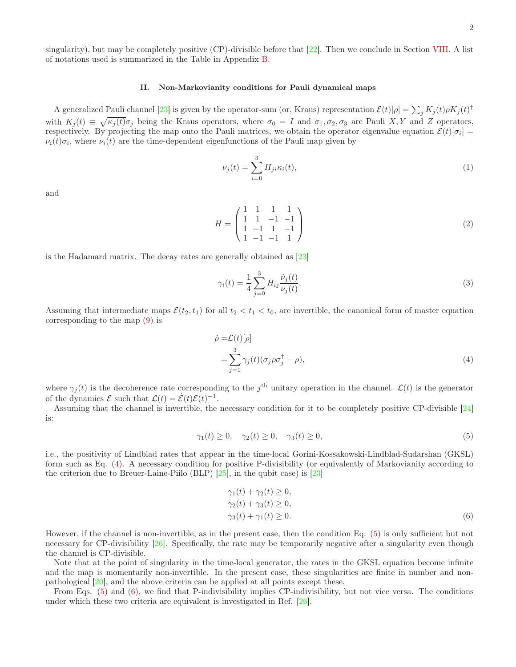singularity), but may be completely positive (CP)-divisible before that  $[22]$ . Then we conclude in Section VIII. A list of notations used is summarized in the Table in Appendix B.

# II. Non-Markovianity conditions for Pauli dynamical maps

A generalized Pauli channel [23] is given by the operator-sum (or, Kraus) representation  $\mathcal{E}(t)[\rho] = \sum_j K_j(t)\rho K_j(t)^\dagger$ with  $K_j(t) \equiv \sqrt{\kappa_j(t)} \sigma_j$  being the Kraus operators, where  $\sigma_0 = I$  and  $\sigma_1, \sigma_2, \sigma_3$  are Pauli X, Y and Z operators, respectively. By projecting the map onto the Pauli matrices, we obtain the operator eigenvalue equation  $\mathcal{E}(t)[\sigma_i] =$  $\nu_i(t)\sigma_i$ , where  $\nu_i(t)$  are the time-dependent eigenfunctions of the Pauli map given by

$$
\nu_j(t) = \sum_{i=0}^3 H_{ji} \kappa_i(t),\tag{1}
$$

and

$$
H = \begin{pmatrix} 1 & 1 & 1 & 1 \\ 1 & 1 & -1 & -1 \\ 1 & -1 & 1 & -1 \\ 1 & -1 & -1 & 1 \end{pmatrix}
$$
 (2)

is the Hadamard matrix. The decay rates are generally obtained as [23]

$$
\gamma_i(t) = \frac{1}{4} \sum_{j=0}^{3} H_{ij} \frac{\dot{\nu}_j(t)}{\nu_j(t)}.
$$
\n(3)

Assuming that intermediate maps  $\mathcal{E}(t_2, t_1)$  for all  $t_2 < t_1 < t_0$ , are invertible, the canonical form of master equation corresponding to the map (9) is

$$
\dot{\rho} = \mathcal{L}(t)[\rho]
$$
  
= 
$$
\sum_{j=1}^{3} \gamma_j(t)(\sigma_j \rho \sigma_j^{\dagger} - \rho),
$$
 (4)

where  $\gamma_j(t)$  is the decoherence rate corresponding to the j<sup>th</sup> unitary operation in the channel.  $\mathcal{L}(t)$  is the generator of the dynamics  $\mathcal E$  such that  $\mathcal L(t) = \mathcal E(t)\mathcal E(t)^{-1}$ .

Assuming that the channel is invertible, the necessary condition for it to be completely positive CP-divisible [24] is:

$$
\gamma_1(t) \ge 0, \quad \gamma_2(t) \ge 0, \quad \gamma_3(t) \ge 0,\tag{5}
$$

i.e., the positivity of Lindblad rates that appear in the time-local Gorini-Kossakowski-Lindblad-Sudarshan (GKSL) form such as Eq. (4). A necessary condition for positive P-divisibility (or equivalently of Markovianity according to the criterion due to Breuer-Laine-Piilo (BLP) [25], in the qubit case) is [23]

$$
\gamma_1(t) + \gamma_2(t) \ge 0,\n\gamma_2(t) + \gamma_3(t) \ge 0,\n\gamma_3(t) + \gamma_1(t) \ge 0.
$$
\n(6)

However, if the channel is non-invertible, as in the present case, then the condition Eq. (5) is only sufficient but not necessary for CP-divisibility [26]. Specifically, the rate may be temporarily negative after a singularity even though the channel is CP-divisible.

Note that at the point of singularity in the time-local generator, the rates in the GKSL equation become infinite and the map is momentarily non-invertible. In the present case, these singularities are finite in number and nonpathological [20], and the above criteria can be applied at all points except these.

From Eqs. (5) and (6), we find that P-indivisibility implies CP-indivisibility, but not vice versa. The conditions under which these two criteria are equivalent is investigated in Ref. [26].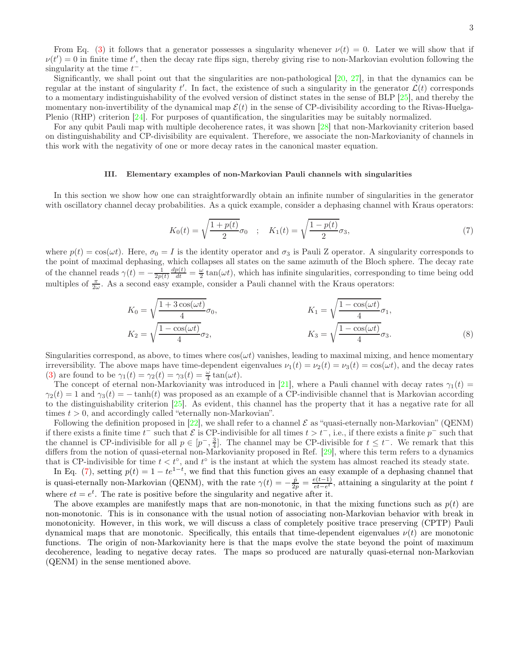From Eq. (3) it follows that a generator possesses a singularity whenever  $\nu(t) = 0$ . Later we will show that if  $\nu(t') = 0$  in finite time t', then the decay rate flips sign, thereby giving rise to non-Markovian evolution following the singularity at the time  $t^-$ .

Significantly, we shall point out that the singularities are non-pathological [20, 27], in that the dynamics can be regular at the instant of singularity t'. In fact, the existence of such a singularity in the generator  $\mathcal{L}(t)$  corresponds to a momentary indistinguishability of the evolved version of distinct states in the sense of BLP [25], and thereby the momentary non-invertibility of the dynamical map  $\mathcal{E}(t)$  in the sense of CP-divisibility according to the Rivas-Huelga-Plenio (RHP) criterion [24]. For purposes of quantification, the singularities may be suitably normalized.

For any qubit Pauli map with multiple decoherence rates, it was shown [28] that non-Markovianity criterion based on distinguishability and CP-divisibility are equivalent. Therefore, we associate the non-Markovianity of channels in this work with the negativity of one or more decay rates in the canonical master equation.

### III. Elementary examples of non-Markovian Pauli channels with singularities

In this section we show how one can straightforwardly obtain an infinite number of singularities in the generator with oscillatory channel decay probabilities. As a quick example, consider a dephasing channel with Kraus operators:

$$
K_0(t) = \sqrt{\frac{1 + p(t)}{2}} \sigma_0 \quad ; \quad K_1(t) = \sqrt{\frac{1 - p(t)}{2}} \sigma_3,
$$
\n<sup>(7)</sup>

where  $p(t) = \cos(\omega t)$ . Here,  $\sigma_0 = I$  is the identity operator and  $\sigma_3$  is Pauli Z operator. A singularity corresponds to the point of maximal dephasing, which collapses all states on the same azimuth of the Bloch sphere. The decay rate of the channel reads  $\gamma(t) = -\frac{1}{2p(t)}$  $\frac{dp(t)}{dt} = \frac{\omega}{2} \tan(\omega t)$ , which has infinite singularities, corresponding to time being odd multiples of  $\frac{\pi}{2\omega}$ . As a second easy example, consider a Pauli channel with the Kraus operators:

$$
K_0 = \sqrt{\frac{1 + 3\cos(\omega t)}{4}} \sigma_0,
$$
  
\n
$$
K_1 = \sqrt{\frac{1 - \cos(\omega t)}{4}} \sigma_1,
$$
  
\n
$$
K_2 = \sqrt{\frac{1 - \cos(\omega t)}{4}} \sigma_2,
$$
  
\n
$$
K_3 = \sqrt{\frac{1 - \cos(\omega t)}{4}} \sigma_3.
$$
\n(8)

Singularities correspond, as above, to times where  $cos(\omega t)$  vanishes, leading to maximal mixing, and hence momentary irreversibility. The above maps have time-dependent eigenvalues  $\nu_1(t) = \nu_2(t) = \nu_3(t) = \cos(\omega t)$ , and the decay rates (3) are found to be  $\gamma_1(t) = \gamma_2(t) = \gamma_3(t) = \frac{\omega}{4} \tan(\omega t)$ .

The concept of eternal non-Markovianity was introduced in [21], where a Pauli channel with decay rates  $\gamma_1(t)$  =  $\gamma_2(t) = 1$  and  $\gamma_3(t) = -\tanh(t)$  was proposed as an example of a CP-indivisible channel that is Markovian according to the distinguishability criterion [25]. As evident, this channel has the property that it has a negative rate for all times  $t > 0$ , and accordingly called "eternally non-Markovian".

Following the definition proposed in [22], we shall refer to a channel  $\mathcal E$  as "quasi-eternally non-Markovian" (QENM) if there exists a finite time  $t^-$  such that  $\mathcal E$  is CP-indivisible for all times  $t > t^-$ , i.e., if there exists a finite  $p^-$  such that the channel is CP-indivisible for all  $p \in [p^-, \frac{3}{4}]$ . The channel may be CP-divisible for  $t \leq t^-$ . We remark that this differs from the notion of quasi-eternal non-Markovianity proposed in Ref. [29], where this term refers to a dynamics that is CP-indivisible for time  $t < t^{\circ}$ , and  $t^{\circ}$  is the instant at which the system has almost reached its steady state.

In Eq. (7), setting  $p(t) = 1 - te^{1-t}$ , we find that this function gives an easy example of a dephasing channel that is quasi-eternally non-Markovian (QENM), with the rate  $\gamma(t) = -\frac{\dot{p}}{2p} = \frac{e(t-1)}{et - e^t}$  $\frac{e(t-1)}{e^t-e^t}$ , attaining a singularity at the point t where  $et = e^t$ . The rate is positive before the singularity and negative after it.

The above examples are manifestly maps that are non-monotonic, in that the mixing functions such as  $p(t)$  are non-monotonic. This is in consonance with the usual notion of associating non-Markovian behavior with break in monotonicity. However, in this work, we will discuss a class of completely positive trace preserving (CPTP) Pauli dynamical maps that are monotonic. Specifically, this entails that time-dependent eigenvalues  $\nu(t)$  are monotonic functions. The origin of non-Markovianity here is that the maps evolve the state beyond the point of maximum decoherence, leading to negative decay rates. The maps so produced are naturally quasi-eternal non-Markovian (QENM) in the sense mentioned above.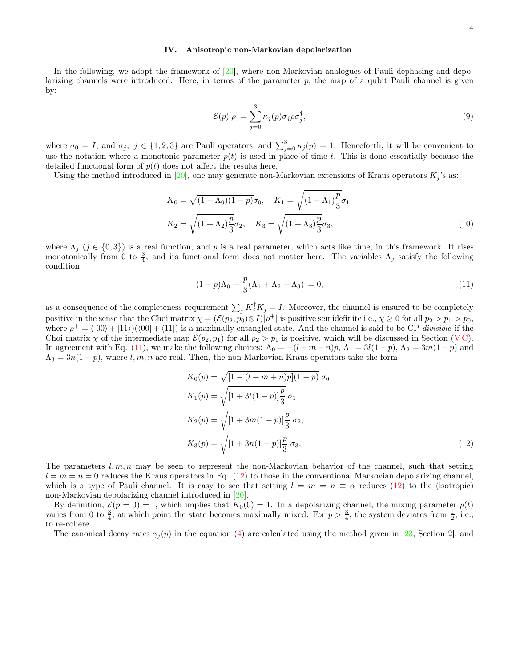# IV. Anisotropic non-Markovian depolarization

In the following, we adopt the framework of [20], where non-Markovian analogues of Pauli dephasing and depolarizing channels were introduced. Here, in terms of the parameter p, the map of a qubit Pauli channel is given by:

$$
\mathcal{E}(p)[\rho] = \sum_{j=0}^{3} \kappa_j(p)\sigma_j \rho \sigma_j^{\dagger},\tag{9}
$$

where  $\sigma_0 = I$ , and  $\sigma_j$ ,  $j \in \{1, 2, 3\}$  are Pauli operators, and  $\sum_{j=0}^{3} \kappa_j(p) = 1$ . Henceforth, it will be convenient to use the notation where a monotonic parameter  $p(t)$  is used in place of time t. This is done essentially because the detailed functional form of  $p(t)$  does not affect the results here.

Using the method introduced in [20], one may generate non-Markovian extensions of Kraus operators  $K_i$ 's as:

$$
K_0 = \sqrt{(1 + \Lambda_0)(1 - p)}\sigma_0, \quad K_1 = \sqrt{(1 + \Lambda_1)\frac{p}{3}}\sigma_1,
$$
  

$$
K_2 = \sqrt{(1 + \Lambda_2)\frac{p}{3}}\sigma_2, \quad K_3 = \sqrt{(1 + \Lambda_3)\frac{p}{3}}\sigma_3,
$$
 (10)

where  $\Lambda_j$  ( $j \in \{0,3\}$ ) is a real function, and p is a real parameter, which acts like time, in this framework. It rises monotonically from 0 to  $\frac{3}{4}$ , and its functional form does not matter here. The variables  $\Lambda_j$  satisfy the following condition

$$
(1-p)\Lambda_0 + \frac{p}{3}(\Lambda_1 + \Lambda_2 + \Lambda_3) = 0, \tag{11}
$$

as a consequence of the completeness requirement  $\sum_j K_j^{\dagger} K_j = I$ . Moreover, the channel is ensured to be completely positive in the sense that the Choi matrix  $\chi = (\mathcal{E}(p_2, p_0) \otimes I)[\rho^+]$  is positive semidefinite i.e.,  $\chi \ge 0$  for all  $p_2 > p_1 > p_0$ , where  $\rho^+ = (00) + (11)$   $(00 + (11))$  is a maximally entangled state. And the channel is said to be CP-divisible if the Choi matrix  $\chi$  of the intermediate map  $\mathcal{E}(p_2, p_1)$  for all  $p_2 > p_1$  is positive, which will be discussed in Section (VC). In agreement with Eq. (11), we make the following choices:  $\Lambda_0 = -(l+m+n)p$ ,  $\Lambda_1 = 3l(1-p)$ ,  $\Lambda_2 = 3m(1-p)$  and  $\Lambda_3 = 3n(1-p)$ , where l, m, n are real. Then, the non-Markovian Kraus operators take the form

$$
K_0(p) = \sqrt{[1 - (l + m + n)p](1 - p)} \sigma_0,
$$
  
\n
$$
K_1(p) = \sqrt{[1 + 3l(1 - p)]\frac{p}{3}} \sigma_1,
$$
  
\n
$$
K_2(p) = \sqrt{[1 + 3m(1 - p)]\frac{p}{3}} \sigma_2,
$$
  
\n
$$
K_3(p) = \sqrt{[1 + 3n(1 - p)]\frac{p}{3}} \sigma_3.
$$
\n(12)

The parameters  $l, m, n$  may be seen to represent the non-Markovian behavior of the channel, such that setting  $l = m = n = 0$  reduces the Kraus operators in Eq. (12) to those in the conventional Markovian depolarizing channel, which is a type of Pauli channel. It is easy to see that setting  $l = m = n \equiv \alpha$  reduces (12) to the (isotropic) non-Markovian depolarizing channel introduced in [20].

By definition,  $\mathcal{E}(p = 0) = \mathbb{I}$ , which implies that  $K_0(0) = 1$ . In a depolarizing channel, the mixing parameter  $p(t)$ varies from 0 to  $\frac{3}{4}$ , at which point the state becomes maximally mixed. For  $p > \frac{3}{4}$ , the system deviates from  $\frac{1}{2}$ , i.e., to re-cohere.

The canonical decay rates  $\gamma_i(p)$  in the equation (4) are calculated using the method given in [23, Section 2], and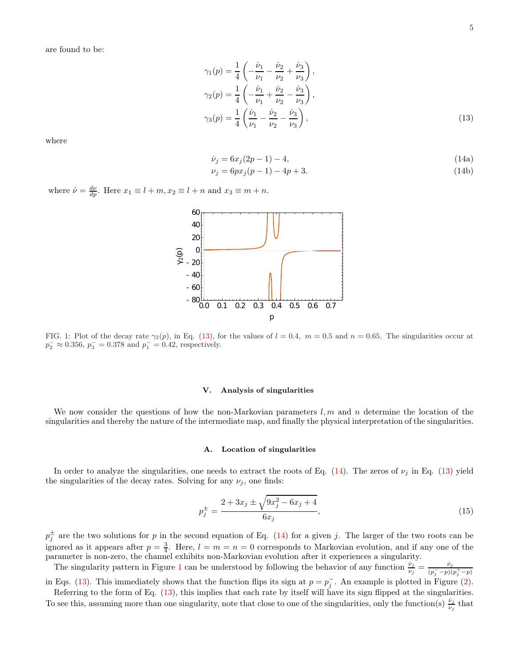are found to be:

$$
\gamma_1(p) = \frac{1}{4} \left( -\frac{\dot{\nu}_1}{\nu_1} - \frac{\dot{\nu}_2}{\nu_2} + \frac{\dot{\nu}_3}{\nu_3} \right),
$$
  
\n
$$
\gamma_2(p) = \frac{1}{4} \left( -\frac{\dot{\nu}_1}{\nu_1} + \frac{\dot{\nu}_2}{\nu_2} - \frac{\dot{\nu}_3}{\nu_3} \right),
$$
  
\n
$$
\gamma_3(p) = \frac{1}{4} \left( \frac{\dot{\nu}_1}{\nu_1} - \frac{\dot{\nu}_2}{\nu_2} - \frac{\dot{\nu}_3}{\nu_3} \right),
$$
\n(13)

where

$$
\dot{\nu}_j = 6x_j(2p-1) - 4,\tag{14a}
$$

$$
\nu_j = 6px_j(p-1) - 4p + 3.\tag{14b}
$$

where  $\dot{\nu} = \frac{d\nu}{dp}$ . Here  $x_1 \equiv l + m, x_2 \equiv l + n$  and  $x_3 \equiv m + n$ .



FIG. 1: Plot of the decay rate  $\gamma_2(p)$ , in Eq. (13), for the values of  $l = 0.4$ ,  $m = 0.5$  and  $n = 0.65$ . The singularities occur at  $p_2^- \approx 0.356, p_3^- = 0.378$  and  $p_1^- = 0.42$ , respectively.

# V. Analysis of singularities

We now consider the questions of how the non-Markovian parameters  $l, m$  and n determine the location of the singularities and thereby the nature of the intermediate map, and finally the physical interpretation of the singularities.

# A. Location of singularities

In order to analyze the singularities, one needs to extract the roots of Eq. (14). The zeros of  $\nu_i$  in Eq. (13) yield the singularities of the decay rates. Solving for any  $\nu_j$ , one finds:

$$
p_j^{\pm} = \frac{2 + 3x_j \pm \sqrt{9x_j^2 - 6x_j + 4}}{6x_j},\tag{15}
$$

 $p_j^{\pm}$  are the two solutions for p in the second equation of Eq. (14) for a given j. The larger of the two roots can be ignored as it appears after  $p = \frac{3}{4}$ . Here,  $l = m = n = 0$  corresponds to Markovian evolution, and if any one of the parameter is non-zero, the channel exhibits non-Markovian evolution after it experiences a singularity.

The singularity pattern in Figure 1 can be understood by following the behavior of any function  $\frac{\dot{v}_j}{v_j} = \frac{\dot{v}_j}{(p_i - p)(\dot{v}_j - p)}$  $(p_j^- - p)(p_j^+ - p)$ in Eqs. (13). This immediately shows that the function flips its sign at  $p = p_j^-$ . An example is plotted in Figure (2).

Referring to the form of Eq. (13), this implies that each rate by itself will have its sign flipped at the singularities. To see this, assuming more than one singularity, note that close to one of the singularities, only the function(s)  $\frac{\dot{\nu}_j}{\nu_j}$  that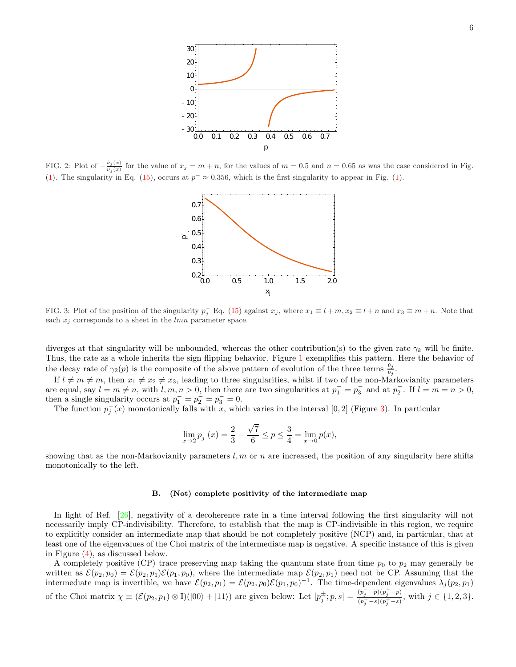

FIG. 2: Plot of  $-\frac{\dot{\nu}_j(x)}{\nu_i(x)}$  $v_j(x)$  for the value of  $x_j = m + n$ , for the values of  $m = 0.5$  and  $n = 0.65$  as was the case considered in Fig. (1). The singularity in Eq. (15), occurs at  $p^{-} \approx 0.356$ , which is the first singularity to appear in Fig. (1).



FIG. 3: Plot of the position of the singularity  $p_j^-\to q$ . (15) against  $x_j$ , where  $x_1 \equiv l+m$ ,  $x_2 \equiv l+n$  and  $x_3 \equiv m+n$ . Note that each  $x_i$  corresponds to a sheet in the *lmn* parameter space.

diverges at that singularity will be unbounded, whereas the other contribution(s) to the given rate  $\gamma_k$  will be finite. Thus, the rate as a whole inherits the sign flipping behavior. Figure 1 exemplifies this pattern. Here the behavior of the decay rate of  $\gamma_2(p)$  is the composite of the above pattern of evolution of the three terms  $\frac{\dot{\nu}_j}{\nu_j}$ .

If  $l \neq m \neq m$ , then  $x_1 \neq x_2 \neq x_3$ , leading to three singularities, whilst if two of the non-Markovianity parameters are equal, say  $l = m \neq n$ , with  $l, m, n > 0$ , then there are two singularities at  $p_1^- = p_3^-$  and at  $p_2^-$ . If  $l = m = n > 0$ , then a single singularity occurs at  $p_1^- = p_2^- = p_3^- = 0$ .

The function  $p_j^-(x)$  monotonically falls with x, which varies in the interval [0, 2] (Figure 3). In particular

$$
\lim_{x \to 2} p_j^-(x) = \frac{2}{3} - \frac{\sqrt{7}}{6} \le p \le \frac{3}{4} = \lim_{x \to 0} p(x),
$$

showing that as the non-Markovianity parameters  $l, m$  or n are increased, the position of any singularity here shifts monotonically to the left.

### B. (Not) complete positivity of the intermediate map

In light of Ref. [26], negativity of a decoherence rate in a time interval following the first singularity will not necessarily imply CP-indivisibility. Therefore, to establish that the map is CP-indivisible in this region, we require to explicitly consider an intermediate map that should be not completely positive (NCP) and, in particular, that at least one of the eigenvalues of the Choi matrix of the intermediate map is negative. A specific instance of this is given in Figure (4), as discussed below.

A completely positive (CP) trace preserving map taking the quantum state from time  $p_0$  to  $p_2$  may generally be written as  $\mathcal{E}(p_2, p_0) = \mathcal{E}(p_2, p_1)\mathcal{E}(p_1, p_0)$ , where the intermediate map  $\mathcal{E}(p_2, p_1)$  need not be CP. Assuming that the intermediate map is invertible, we have  $\mathcal{E}(p_2, p_1) = \mathcal{E}(p_2, p_0)\mathcal{E}(p_1, p_0)^{-1}$ . The time-dependent eigenvalues  $\lambda_j(p_2, p_1)$ of the Choi matrix  $\chi \equiv (\mathcal{E}(p_2, p_1) \otimes \mathbb{I}) (|00\rangle + |11\rangle)$  are given below: Let  $[p_j^{\pm}; p, s] = \frac{(p_j^{-} - p)(p_j^{+} - p)}{(p_j^{-} - s)(p_j^{+} - s)}$  $\frac{\left(p_j - p\right)\left(p_j - p\right)}{\left(p_j - s\right)\left(p_j + s\right)}, \text{ with } j \in \{1, 2, 3\}.$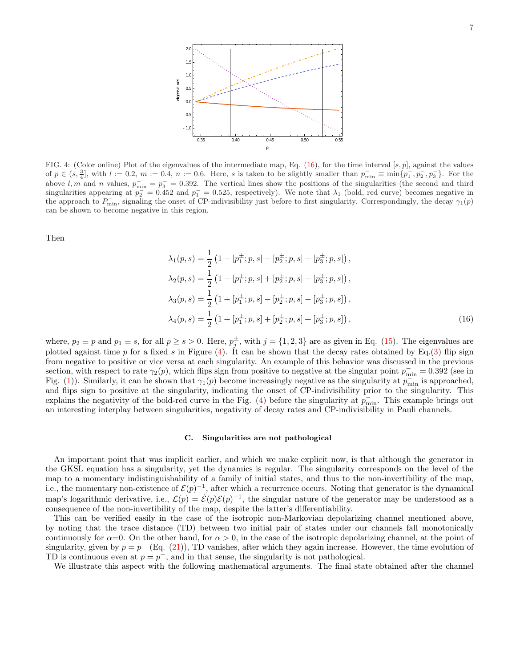

FIG. 4: (Color online) Plot of the eigenvalues of the intermediate map, Eq.  $(16)$ , for the time interval [s, p], against the values of  $p \in (s, \frac{3}{4}]$ , with  $l := 0.2$ ,  $m := 0.4$ ,  $n := 0.6$ . Here, s is taken to be slightly smaller than  $p_{\min}^- \equiv \min\{p_1^-, p_2^-, p_3^-\}$ . For the above l, m and n values,  $p_{\min}^- = p_3^- = 0.392$ . The vertical lines show the positions of the singularities (the second and third singularities appearing at  $p_2 = 0.452$  and  $p_1 = 0.525$ , respectively). We note that  $\lambda_1$  (bold, red curve) becomes negative in the approach to  $P_{\min}^-$ , signaling the onset of CP-indivisibility just before to first singularity. Correspondingly, the decay  $\gamma_1(p)$ can be shown to become negative in this region.

Then

$$
\lambda_1(p,s) = \frac{1}{2} \left( 1 - [p_1^{\pm}; p, s] - [p_2^{\pm}; p, s] + [p_3^{\pm}; p, s] \right),
$$
  
\n
$$
\lambda_2(p,s) = \frac{1}{2} \left( 1 - [p_1^{\pm}; p, s] + [p_2^{\pm}; p, s] - [p_3^{\pm}; p, s] \right),
$$
  
\n
$$
\lambda_3(p,s) = \frac{1}{2} \left( 1 + [p_1^{\pm}; p, s] - [p_2^{\pm}; p, s] - [p_3^{\pm}; p, s] \right),
$$
  
\n
$$
\lambda_4(p,s) = \frac{1}{2} \left( 1 + [p_1^{\pm}; p, s] + [p_2^{\pm}; p, s] + [p_3^{\pm}; p, s] \right),
$$
\n(16)

where,  $p_2 \equiv p$  and  $p_1 \equiv s$ , for all  $p \ge s > 0$ . Here,  $p_j^{\pm}$ , with  $j = \{1, 2, 3\}$  are as given in Eq. (15). The eigenvalues are plotted against time p for a fixed s in Figure  $(4)$ . It can be shown that the decay rates obtained by Eq.(3) flip sign from negative to positive or vice versa at each singularity. An example of this behavior was discussed in the previous section, with respect to rate  $\gamma_2(p)$ , which flips sign from positive to negative at the singular point  $p_{\min}^- = 0.392$  (see in Fig. (1)). Similarly, it can be shown that  $\gamma_1(p)$  become increasingly negative as the singularity at  $p_{\min}$  is approached, and flips sign to positive at the singularity, indicating the onset of CP-indivisibility prior to the singularity. This explains the negativity of the bold-red curve in the Fig. (4) before the singularity at  $p_{\min}^-$ . This example brings out an interesting interplay between singularities, negativity of decay rates and CP-indivisibility in Pauli channels.

### C. Singularities are not pathological

An important point that was implicit earlier, and which we make explicit now, is that although the generator in the GKSL equation has a singularity, yet the dynamics is regular. The singularity corresponds on the level of the map to a momentary indistinguishability of a family of initial states, and thus to the non-invertibility of the map, i.e., the momentary non-existence of  $\mathcal{E}(p)^{-1}$ , after which a recurrence occurs. Noting that generator is the dynamical map's logarithmic derivative, i.e.,  $\mathcal{L}(p) = \mathcal{E}(p)\mathcal{E}(p)^{-1}$ , the singular nature of the generator may be understood as a consequence of the non-invertibility of the map, despite the latter's differentiability.

This can be verified easily in the case of the isotropic non-Markovian depolarizing channel mentioned above, by noting that the trace distance (TD) between two initial pair of states under our channels fall monotonically continuously for  $\alpha=0$ . On the other hand, for  $\alpha>0$ , in the case of the isotropic depolarizing channel, at the point of singularity, given by  $p = p^{-}$  (Eq. (21)), TD vanishes, after which they again increase. However, the time evolution of TD is continuous even at  $p = p^{-}$ , and in that sense, the singularity is not pathological.

We illustrate this aspect with the following mathematical arguments. The final state obtained after the channel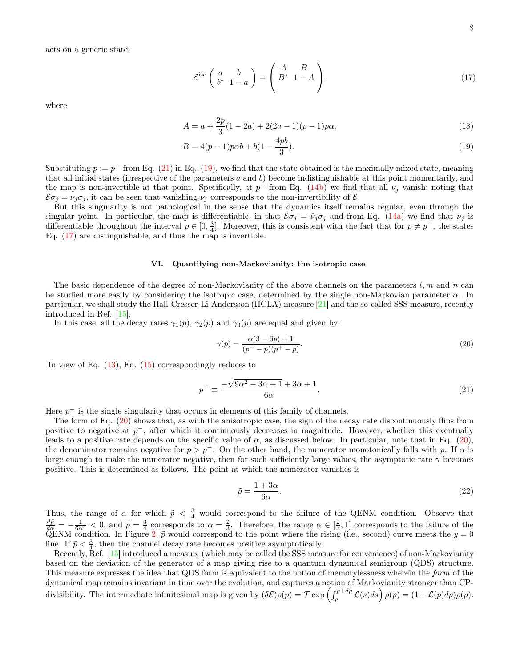acts on a generic state:

$$
\mathcal{E}^{\text{iso}}\left(\begin{array}{cc} a & b \\ b^* & 1 - a \end{array}\right) = \left(\begin{array}{cc} A & B \\ B^* & 1 - A \end{array}\right),\tag{17}
$$

where

$$
A = a + \frac{2p}{3}(1 - 2a) + 2(2a - 1)(p - 1)p\alpha,
$$
\n(18)

$$
B = 4(p-1)p\alpha b + b(1 - \frac{4pb}{3}).
$$
\n(19)

Substituting  $p := p^-$  from Eq. (21) in Eq. (19), we find that the state obtained is the maximally mixed state, meaning that all initial states (irrespective of the parameters  $a$  and  $b$ ) become indistinguishable at this point momentarily, and the map is non-invertible at that point. Specifically, at  $p^-$  from Eq. (14b) we find that all  $\nu_j$  vanish; noting that  $\mathcal{E}\sigma_j = \nu_j \sigma_j$ , it can be seen that vanishing  $\nu_j$  corresponds to the non-invertibility of  $\mathcal{E}$ .

But this singularity is not pathological in the sense that the dynamics itself remains regular, even through the singular point. In particular, the map is differentiable, in that  $\mathcal{E}\sigma_j = \dot{\nu}_j \sigma_j$  and from Eq. (14a) we find that  $\nu_j$  is differentiable throughout the interval  $p \in [0, \frac{3}{4}]$ . Moreover, this is consistent with the fact that for  $p \neq p^-$ , the states Eq. (17) are distinguishable, and thus the map is invertible.

### VI. Quantifying non-Markovianity: the isotropic case

The basic dependence of the degree of non-Markovianity of the above channels on the parameters  $l, m$  and n can be studied more easily by considering the isotropic case, determined by the single non-Markovian parameter  $\alpha$ . In particular, we shall study the Hall-Cresser-Li-Andersson (HCLA) measure [21] and the so-called SSS measure, recently introduced in Ref. [15].

In this case, all the decay rates  $\gamma_1(p)$ ,  $\gamma_2(p)$  and  $\gamma_3(p)$  are equal and given by:

$$
\gamma(p) = \frac{\alpha(3 - 6p) + 1}{(p^- - p)(p^+ - p)}.
$$
\n(20)

In view of Eq.  $(13)$ , Eq.  $(15)$  correspondingly reduces to

$$
p^{-} \equiv \frac{-\sqrt{9\alpha^2 - 3\alpha + 1} + 3\alpha + 1}{6\alpha}.\tag{21}
$$

Here  $p^-$  is the single singularity that occurs in elements of this family of channels.

The form of Eq. (20) shows that, as with the anisotropic case, the sign of the decay rate discontinuously flips from positive to negative at  $p^-$ , after which it continuously decreases in magnitude. However, whether this eventually leads to a positive rate depends on the specific value of  $\alpha$ , as discussed below. In particular, note that in Eq. (20), the denominator remains negative for  $p > p^-$ . On the other hand, the numerator monotonically falls with p. If  $\alpha$  is large enough to make the numerator negative, then for such sufficiently large values, the asymptotic rate  $\gamma$  becomes positive. This is determined as follows. The point at which the numerator vanishes is

$$
\tilde{p} = \frac{1 + 3\alpha}{6\alpha}.\tag{22}
$$

Thus, the range of  $\alpha$  for which  $\tilde{p} < \frac{3}{4}$  would correspond to the failure of the QENM condition. Observe that  $\frac{d\tilde{p}}{d\alpha} = -\frac{1}{6\alpha^2} < 0$ , and  $\tilde{p} = \frac{3}{4}$  corresponds to  $\alpha = \frac{2}{3}$ . Therefore, the range  $\alpha \in [\frac{2}{3}, 1]$  corresponds to the failure of the QENM condition. In Figure 2,  $\tilde{p}$  would correspond to the point where the rising (i.e., second) curve meets the  $y = 0$ line. If  $\tilde{p} < \frac{3}{4}$ , then the channel decay rate becomes positive asymptotically.

Recently, Ref. [15] introduced a measure (which may be called the SSS measure for convenience) of non-Markovianity based on the deviation of the generator of a map giving rise to a quantum dynamical semigroup (QDS) structure. This measure expresses the idea that QDS form is equivalent to the notion of memorylessness wherein the form of the dynamical map remains invariant in time over the evolution, and captures a notion of Markovianity stronger than CPdivisibility. The intermediate infinitesimal map is given by  $(\delta \mathcal{E}) \rho(p) = \mathcal{T} \exp\left(\int_p^{p+dp} \mathcal{L}(s) ds\right) \rho(p) = (1 + \mathcal{L}(p) dp) \rho(p)$ .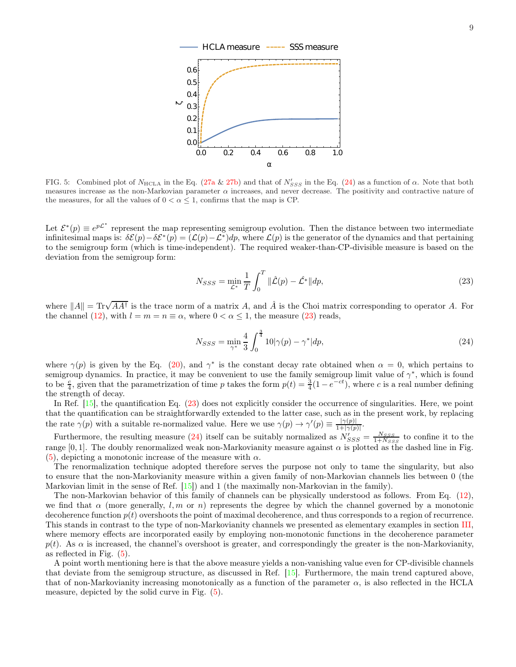

FIG. 5: Combined plot of  $N_{\text{HCLA}}$  in the Eq. (27a & 27b) and that of  $N'_{SSS}$  in the Eq. (24) as a function of  $\alpha$ . Note that both measures increase as the non-Markovian parameter  $\alpha$  increases, and never decrease. The positivity and contractive nature of the measures, for all the values of  $0 < \alpha \leq 1$ , confirms that the map is CP.

Let  $\mathcal{E}^*(p) \equiv e^{p\mathcal{L}^*}$  represent the map representing semigroup evolution. Then the distance between two intermediate infinitesimal maps is:  $\delta \mathcal{E}(p) - \delta \mathcal{E}^*(p) = (\mathcal{L}(p) - \mathcal{L}^*) dp$ , where  $\mathcal{L}(p)$  is the generator of the dynamics and that pertaining to the semigroup form (which is time-independent). The required weaker-than-CP-divisible measure is based on the deviation from the semigroup form:

$$
N_{SSS} = \min_{\mathcal{L}^*} \frac{1}{T} \int_0^T \|\hat{\mathcal{L}}(p) - \hat{\mathcal{L}}^*\| dp,
$$
\n(23)

where  $||A|| = \text{Tr}\sqrt{AA^{\dagger}}$  is the trace norm of a matrix A, and  $\hat{A}$  is the Choi matrix corresponding to operator A. For the channel (12), with  $l = m = n \equiv \alpha$ , where  $0 < \alpha \leq 1$ , the measure (23) reads,

$$
N_{SSS} = \min_{\gamma^*} \frac{4}{3} \int_0^{\frac{3}{4}} 10|\gamma(p) - \gamma^*|dp,\tag{24}
$$

where  $\gamma(p)$  is given by the Eq. (20), and  $\gamma^*$  is the constant decay rate obtained when  $\alpha = 0$ , which pertains to semigroup dynamics. In practice, it may be convenient to use the family semigroup limit value of  $\gamma^*$ , which is found to be  $\frac{c}{4}$ , given that the parametrization of time p takes the form  $p(t) = \frac{3}{4}(1 - e^{-ct})$ , where c is a real number defining the strength of decay.

In Ref. [15], the quantification Eq. (23) does not explicitly consider the occurrence of singularities. Here, we point that the quantification can be straightforwardly extended to the latter case, such as in the present work, by replacing the rate  $\gamma(p)$  with a suitable re-normalized value. Here we use  $\gamma(p) \to \gamma'(p) \equiv \frac{|\gamma(p)|}{1+|\gamma(p)|}$  $\frac{|\gamma(p)|}{1+|\gamma(p)|}.$ 

Furthermore, the resulting measure (24) itself can be suitably normalized as  $N'_{SSS} = \frac{N_{SSS}}{1 + N_{SSS}}$  to confine it to the range [0, 1]. The doubly renormalized weak non-Markovianity measure against  $\alpha$  is plotted as the dashed line in Fig. (5), depicting a monotonic increase of the measure with  $\alpha$ .

The renormalization technique adopted therefore serves the purpose not only to tame the singularity, but also to ensure that the non-Markovianity measure within a given family of non-Markovian channels lies between 0 (the Markovian limit in the sense of Ref. [15]) and 1 (the maximally non-Markovian in the family).

The non-Markovian behavior of this family of channels can be physically understood as follows. From Eq. (12), we find that  $\alpha$  (more generally, l, m or n) represents the degree by which the channel governed by a monotonic decoherence function  $p(t)$  overshoots the point of maximal decoherence, and thus corresponds to a region of recurrence. This stands in contrast to the type of non-Markovianity channels we presented as elementary examples in section III, where memory effects are incorporated easily by employing non-monotonic functions in the decoherence parameter  $p(t)$ . As  $\alpha$  is increased, the channel's overshoot is greater, and correspondingly the greater is the non-Markovianity, as reflected in Fig. (5).

A point worth mentioning here is that the above measure yields a non-vanishing value even for CP-divisible channels that deviate from the semigroup structure, as discussed in Ref. [15]. Furthermore, the main trend captured above, that of non-Markovianity increasing monotonically as a function of the parameter  $\alpha$ , is also reflected in the HCLA measure, depicted by the solid curve in Fig. (5).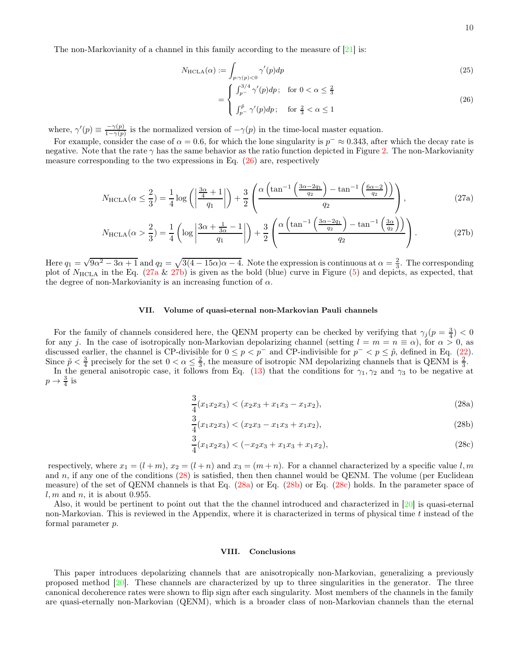The non-Markovianity of a channel in this family according to the measure of [21] is:

$$
N_{\text{HCLA}}(\alpha) := \int_{p:\gamma(p)<0} \gamma'(p) dp \tag{25}
$$

$$
= \begin{cases} \int_{p^{-}}^{3/4} \gamma'(p) dp; & \text{for } 0 < \alpha \le \frac{2}{3} \\ \int_{p^{-}}^{5} \gamma'(p) dp; & \text{for } \frac{2}{3} < \alpha \le 1 \end{cases}
$$
 (26)

where,  $\gamma'(p) \equiv \frac{-\gamma(p)}{1-\gamma(p)}$  $\frac{-\gamma(p)}{1-\gamma(p)}$  is the normalized version of  $-\gamma(p)$  in the time-local master equation.

For example, consider the case of  $\alpha = 0.6$ , for which the lone singularity is  $p^- \approx 0.343$ , after which the decay rate is negative. Note that the rate  $\gamma$  has the same behavior as the ratio function depicted in Figure 2. The non-Markovianity measure corresponding to the two expressions in Eq. (26) are, respectively

$$
N_{\text{HCLA}}(\alpha \le \frac{2}{3}) = \frac{1}{4}\log\left(\left|\frac{\frac{3\alpha}{4} + 1}{q_1}\right|\right) + \frac{3}{2}\left(\frac{\alpha\left(\tan^{-1}\left(\frac{3\alpha - 2q_1}{q_2}\right) - \tan^{-1}\left(\frac{6\alpha - 2}{q_2}\right)\right)}{q_2}\right),\tag{27a}
$$

$$
N_{\text{HCLA}}(\alpha > \frac{2}{3}) = \frac{1}{4} \left( \log \left| \frac{3\alpha + \frac{1}{3\alpha} - 1}{q_1} \right| \right) + \frac{3}{2} \left( \frac{\alpha \left( \tan^{-1} \left( \frac{3\alpha - 2q_1}{q_2} \right) - \tan^{-1} \left( \frac{3\alpha}{q_2} \right) \right)}{q_2} \right). \tag{27b}
$$

Here  $q_1 = \sqrt{9\alpha^2 - 3\alpha + 1}$  and  $q_2 = \sqrt{3(4 - 15\alpha)\alpha - 4}$ . Note the expression is continuous at  $\alpha = \frac{2}{3}$ . The corresponding plot of  $N_{\text{HCLA}}$  in the Eq. (27a & 27b) is given as the bold (blue) curve in Figure (5) and depicts, as expected, that the degree of non-Markovianity is an increasing function of  $\alpha$ .

# VII. Volume of quasi-eternal non-Markovian Pauli channels

For the family of channels considered here, the QENM property can be checked by verifying that  $\gamma_j (p = \frac{3}{4}) < 0$ for any j. In the case of isotropically non-Markovian depolarizing channel (setting  $l = m = n \equiv \alpha$ ), for  $\alpha > 0$ , as discussed earlier, the channel is CP-divisible for  $0 \le p < p^-$  and CP-indivisible for  $p^- < p \le \tilde{p}$ , defined in Eq. (22). Since  $\tilde{p} < \frac{3}{4}$  precisely for the set  $0 < \alpha \leq \frac{2}{3}$ , the measure of isotropic NM depolarizing channels that is QENM is  $\frac{2}{3}$ .

In the general anisotropic case, it follows from Eq. (13) that the conditions for  $\gamma_1, \gamma_2$  and  $\gamma_3$  to be negative at  $p \to \frac{3}{4}$  is

$$
\frac{3}{4}(x_1x_2x_3) < (x_2x_3 + x_1x_3 - x_1x_2),\tag{28a}
$$

$$
\frac{3}{4}(x_1x_2x_3) < (x_2x_3 - x_1x_3 + x_1x_2),\tag{28b}
$$

$$
\frac{3}{4}(x_1x_2x_3) < (-x_2x_3 + x_1x_3 + x_1x_2),
$$
\n(28c)

respectively, where  $x_1 = (l+m)$ ,  $x_2 = (l+n)$  and  $x_3 = (m+n)$ . For a channel characterized by a specific value l, m and n, if any one of the conditions  $(28)$  is satisfied, then then channel would be QENM. The volume (per Euclidean measure) of the set of QENM channels is that Eq. (28a) or Eq. (28b) or Eq. (28c) holds. In the parameter space of  $l, m$  and  $n$ , it is about 0.955.

Also, it would be pertinent to point out that the the channel introduced and characterized in [20] is quasi-eternal non-Markovian. This is reviewed in the Appendix, where it is characterized in terms of physical time t instead of the formal parameter p.

### VIII. Conclusions

This paper introduces depolarizing channels that are anisotropically non-Markovian, generalizing a previously proposed method [20]. These channels are characterized by up to three singularities in the generator. The three canonical decoherence rates were shown to flip sign after each singularity. Most members of the channels in the family are quasi-eternally non-Markovian (QENM), which is a broader class of non-Markovian channels than the eternal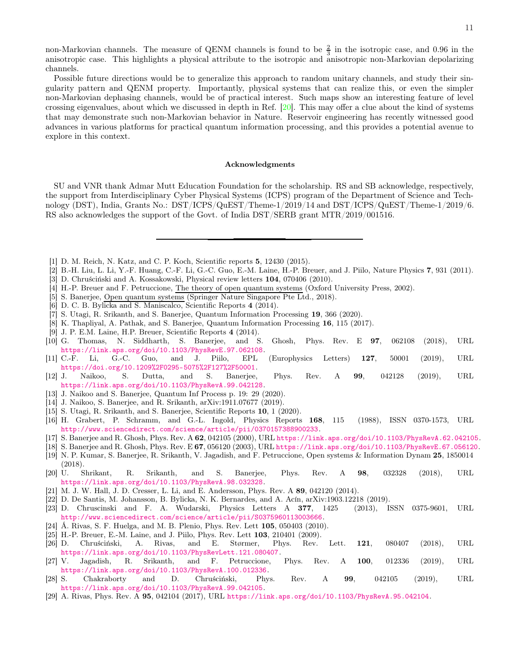non-Markovian channels. The measure of QENM channels is found to be  $\frac{2}{3}$  in the isotropic case, and 0.96 in the anisotropic case. This highlights a physical attribute to the isotropic and anisotropic non-Markovian depolarizing channels.

Possible future directions would be to generalize this approach to random unitary channels, and study their singularity pattern and QENM property. Importantly, physical systems that can realize this, or even the simpler non-Markovian dephasing channels, would be of practical interest. Such maps show an interesting feature of level crossing eigenvalues, about which we discussed in depth in Ref. [20]. This may offer a clue about the kind of systems that may demonstrate such non-Markovian behavior in Nature. Reservoir engineering has recently witnessed good advances in various platforms for practical quantum information processing, and this provides a potential avenue to explore in this context.

### Acknowledgments

SU and VNR thank Admar Mutt Education Foundation for the scholarship. RS and SB acknowledge, respectively, the support from Interdisciplinary Cyber Physical Systems (ICPS) program of the Department of Science and Technology (DST), India, Grants No.: DST/ICPS/QuEST/Theme-1/2019/14 and DST/ICPS/QuEST/Theme-1/2019/6. RS also acknowledges the support of the Govt. of India DST/SERB grant MTR/2019/001516.

- [1] D. M. Reich, N. Katz, and C. P. Koch, Scientific reports 5, 12430 (2015).
- [2] B.-H. Liu, L. Li, Y.-F. Huang, C.-F. Li, G.-C. Guo, E.-M. Laine, H.-P. Breuer, and J. Piilo, Nature Physics 7, 931 (2011).
- [3] D. Chruściński and A. Kossakowski, Physical review letters 104, 070406 (2010).
- [4] H.-P. Breuer and F. Petruccione, The theory of open quantum systems (Oxford University Press, 2002).
- [5] S. Banerjee, Open quantum systems (Springer Nature Singapore Pte Ltd., 2018).
- [6] D. C. B. Bylicka and S. Maniscalco, Scientific Reports 4 (2014).
- [7] S. Utagi, R. Srikanth, and S. Banerjee, Quantum Information Processing 19, 366 (2020).
- [8] K. Thapliyal, A. Pathak, and S. Banerjee, Quantum Information Processing 16, 115 (2017).
- [9] J. P. E.M. Laine, H.P. Breuer, Scientific Reports 4 (2014).
- [10] G. Thomas, N. Siddharth, S. Banerjee, and S. Ghosh, Phys. Rev. E 97, 062108 (2018), URL https://link.aps.org/doi/10.1103/PhysRevE.97.062108.
- [11] C.-F. Li, G.-C. Guo, and J. Piilo, EPL (Europhysics Letters) 127, 50001 (2019), URL https://doi.org/10.1209%2F0295-5075%2F127%2F50001.<br>J. Naikoo. S. Dutta. and S. Banerjee.
- [12] J. Naikoo, S. Dutta, and S. Banerjee, Phys. Rev. A 99, 042128 (2019), URL https://link.aps.org/doi/10.1103/PhysRevA.99.042128.
- [13] J. Naikoo and S. Banerjee, Quantum Inf Process p. 19: 29 (2020).
- [14] J. Naikoo, S. Banerjee, and R. Srikanth, arXiv:1911.07677 (2019).
- [15] S. Utagi, R. Srikanth, and S. Banerjee, Scientific Reports 10, 1 (2020).
- [16] H. Grabert, P. Schramm, and G.-L. Ingold, Physics Reports 168, 115 (1988), ISSN 0370-1573, URL http://www.sciencedirect.com/science/article/pii/0370157388900233.
- [17] S. Banerjee and R. Ghosh, Phys. Rev. A 62, 042105 (2000), URL https://link.aps.org/doi/10.1103/PhysRevA.62.042105.
- [18] S. Banerjee and R. Ghosh, Phys. Rev. E 67, 056120 (2003), URL https://link.aps.org/doi/10.1103/PhysRevE.67.056120.
- [19] N. P. Kumar, S. Banerjee, R. Srikanth, V. Jagadish, and F. Petruccione, Open systems & Information Dynam 25, 1850014 (2018).
- [20] U. Shrikant, R. Srikanth, and S. Banerjee, Phys. Rev. A 98, 032328 (2018), URL https://link.aps.org/doi/10.1103/PhysRevA.98.032328.
- [21] M. J. W. Hall, J. D. Cresser, L. Li, and E. Andersson, Phys. Rev. A 89, 042120 (2014).
- [22] D. De Santis, M. Johansson, B. Bylicka, N. K. Bernardes, and A. Acín, arXiv:1903.12218 (2019).
- [23] D. Chruscinski and F. A. Wudarski, Physics Letters A 377, 1425 (2013), ISSN 0375-9601, URL http://www.sciencedirect.com/science/article/pii/S0375960113003666.
- [24] Á. Rivas, S. F. Huelga, and M. B. Plenio, Phys. Rev. Lett 105, 050403 (2010).
- [25] H.-P. Breuer, E.-M. Laine, and J. Piilo, Phys. Rev. Lett 103, 210401 (2009). [26] D. Chruściński, A. Rivas, and E. Størmer, Phys. Rev. Lett. 121, 080407 (2018), URL https://link.aps.org/doi/10.1103/PhysRevLett.121.080407.
- [27] V. Jagadish, R. Srikanth, and F. Petruccione, Phys. Rev. A 100, 012336 (2019), URL https://link.aps.org/doi/10.1103/PhysRevA.100.012336.
- [28] S. Chakraborty and D. Chruściński, Phys. Rev. A 99, 042105 (2019), URL https://link.aps.org/doi/10.1103/PhysRevA.99.042105.
- [29] A. Rivas, Phys. Rev. A 95, 042104 (2017), URL https://link.aps.org/doi/10.1103/PhysRevA.95.042104.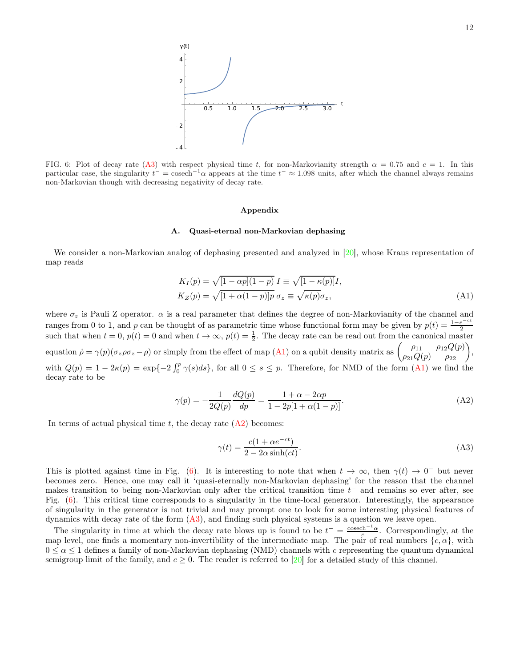

FIG. 6: Plot of decay rate (A3) with respect physical time t, for non-Markovianity strength  $\alpha = 0.75$  and  $c = 1$ . In this particular case, the singularity  $t^{-} = \text{cosech}^{-1}\alpha$  appears at the time  $t^{-} \approx 1.098$  units, after which the channel always remains non-Markovian though with decreasing negativity of decay rate.

### Appendix

# A. Quasi-eternal non-Markovian dephasing

We consider a non-Markovian analog of dephasing presented and analyzed in [20], whose Kraus representation of map reads

$$
K_I(p) = \sqrt{[1 - \alpha p](1 - p)} I \equiv \sqrt{[1 - \kappa(p)]} I,
$$
  
\n
$$
K_Z(p) = \sqrt{[1 + \alpha(1 - p)]p} \sigma_z \equiv \sqrt{\kappa(p)} \sigma_z,
$$
\n(A1)

where  $\sigma_z$  is Pauli Z operator.  $\alpha$  is a real parameter that defines the degree of non-Markovianity of the channel and ranges from 0 to 1, and p can be thought of as parametric time whose functional form may be given by  $p(t) = \frac{1-e^{-ct}}{2}$ Examples from 0 to 1, and p can be thought of as parametric time whose ranctional form may be given by  $p(e) = \frac{1}{2}$ <br>such that when  $t = 0$ ,  $p(t) = 0$  and when  $t \to \infty$ ,  $p(t) = \frac{1}{2}$ . The decay rate can be read out from th equation  $\dot{\rho} = \gamma(p)(\sigma_z \rho \sigma_z - \rho)$  or simply from the effect of map (A1) on a qubit density matrix as  $\begin{pmatrix} \rho_{11} & \rho_{12} Q(p) \\ \rho_{21} Q(p) & \rho_{22} \end{pmatrix}$ , with  $Q(p) = 1 - 2\kappa(p) = \exp\{-2\int_0^p \gamma(s)ds\}$ , for all  $0 \le s \le p$ . Therefore, for NMD of the form  $(A1)$  we find the decay rate to be

$$
\gamma(p) = -\frac{1}{2Q(p)} \frac{dQ(p)}{dp} = \frac{1 + \alpha - 2\alpha p}{1 - 2p[1 + \alpha(1 - p)]}.
$$
\n(A2)

In terms of actual physical time t, the decay rate  $(A2)$  becomes:

$$
\gamma(t) = \frac{c(1 + \alpha e^{-ct})}{2 - 2\alpha \sinh(ct)}.
$$
\n(A3)

This is plotted against time in Fig. (6). It is interesting to note that when  $t \to \infty$ , then  $\gamma(t) \to 0^-$  but never becomes zero. Hence, one may call it 'quasi-eternally non-Markovian dephasing' for the reason that the channel makes transition to being non-Markovian only after the critical transition time  $t^-$  and remains so ever after, see Fig. (6). This critical time corresponds to a singularity in the time-local generator. Interestingly, the appearance of singularity in the generator is not trivial and may prompt one to look for some interesting physical features of dynamics with decay rate of the form (A3), and finding such physical systems is a question we leave open.

The singularity in time at which the decay rate blows up is found to be  $t^- = \frac{\cosh^{-1} \alpha}{c}$ . Correspondingly, at the map level, one finds a momentary non-invertibility of the intermediate map. The pair of real numbers  $\{c, \alpha\}$ , with  $0 \le \alpha \le 1$  defines a family of non-Markovian dephasing (NMD) channels with c representing the quantum dynamical semigroup limit of the family, and  $c \geq 0$ . The reader is referred to [20] for a detailed study of this channel.